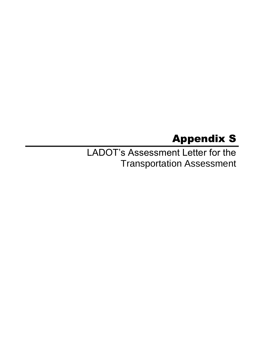## Appendix S

LADOT's Assessment Letter for the Transportation Assessment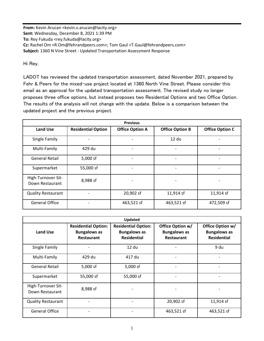**From:** Kevin Arucan <kevin.v.arucan@lacity.org> **Sent:** Wednesday, December 8, 2021 1:39 PM **To:** Rey Fukuda <rey.fukuda@lacity.org> **Cc:** Rachel Om <R.Om@fehrandpeers.com>; Tom Gaul <T.Gaul@fehrandpeers.com> **Subject:** 1360 N Vine Street - Updated Transportation Assessment Response

Hi Rey,

LADOT has reviewed the updated transportation assessment, dated November 2021, prepared by Fehr & Peers for the mixed-use project located at 1360 North Vine Street. Please consider this email as an approval for the updated transportation assessment. The revised study no longer proposes three office options, but instead proposes two Residential Options and two Office Option. The results of the analysis will not change with the update. Below is a comparison between the updated project and the previous project.

| <b>Previous</b>                       |                           |                        |                          |                        |  |  |
|---------------------------------------|---------------------------|------------------------|--------------------------|------------------------|--|--|
| <b>Land Use</b>                       | <b>Residential Option</b> | <b>Office Option A</b> | <b>Office Option B</b>   | <b>Office Option C</b> |  |  |
| Single Family                         |                           |                        | 12 du                    |                        |  |  |
| Multi-Family                          | 429 du                    |                        | $\overline{\phantom{0}}$ |                        |  |  |
| <b>General Retail</b>                 | 5,000 sf                  |                        | -                        |                        |  |  |
| Supermarket                           | 55,000 sf                 |                        | -                        |                        |  |  |
| High-Turnover Sit-<br>Down Restaurant | 8,988 sf                  |                        | -                        |                        |  |  |
| <b>Quality Restaurant</b>             |                           | 20,902 sf              | 11,914 sf                | 11,914 sf              |  |  |
| <b>General Office</b>                 |                           | 463,521 sf             | 463,521 sf               | 472,509 sf             |  |  |

| <b>Updated</b>                        |                                                                        |                                                                         |                                                              |                                                               |  |
|---------------------------------------|------------------------------------------------------------------------|-------------------------------------------------------------------------|--------------------------------------------------------------|---------------------------------------------------------------|--|
| <b>Land Use</b>                       | <b>Residential Option:</b><br><b>Bungalows as</b><br><b>Restaurant</b> | <b>Residential Option:</b><br><b>Bungalows as</b><br><b>Residential</b> | Office Option w/<br><b>Bungalows as</b><br><b>Restaurant</b> | Office Option w/<br><b>Bungalows as</b><br><b>Residential</b> |  |
| Single Family                         |                                                                        | 12 du                                                                   |                                                              | 9 du                                                          |  |
| Multi-Family                          | 429 du                                                                 | 417 du                                                                  | $\qquad \qquad \blacksquare$                                 |                                                               |  |
| <b>General Retail</b>                 | 5,000 sf                                                               | 5,000 sf                                                                | $\qquad \qquad \blacksquare$                                 |                                                               |  |
| Supermarket                           | 55,000 sf                                                              | 55,000 sf                                                               | $\overline{a}$                                               |                                                               |  |
| High-Turnover Sit-<br>Down Restaurant | 8,988 sf                                                               |                                                                         |                                                              |                                                               |  |
| <b>Quality Restaurant</b>             |                                                                        |                                                                         | 20,902 sf                                                    | 11,914 sf                                                     |  |
| <b>General Office</b>                 |                                                                        |                                                                         | 463,521 sf                                                   | 463,521 sf                                                    |  |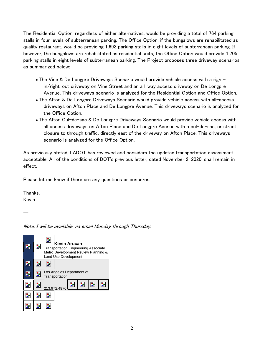The Residential Option, regardless of either alternatives, would be providing a total of 764 parking stalls in four levels of subterranean parking. The Office Option, if the bungalows are rehabilitated as quality restaurant, would be providing 1,693 parking stalls in eight levels of subterranean parking. If however, the bungalows are rehabilitated as residential units, the Office Option would provide 1,705 parking stalls in eight levels of subterranean parking. The Project proposes three driveway scenarios as summarized below:

- The Vine & De Longpre Driveways Scenario would provide vehicle access with a rightin/right-out driveway on Vine Street and an all-way access driveway on De Longpre Avenue. This driveways scenario is analyzed for the Residential Option and Office Option.
- The Afton & De Longpre Driveways Scenario would provide vehicle access with all-access driveways on Afton Place and De Longpre Avenue. This driveways scenario is analyzed for the Office Option.
- The Afton Cul-de-sac & De Longpre Driveways Scenario would provide vehicle access with all access driveways on Afton Place and De Longpre Avenue with a cul-de-sac, or street closure to through traffic, directly east of the driveway on Afton Place. This driveways scenario is analyzed for the Office Option.

As previously stated, LADOT has reviewed and considers the updated transportation assessment acceptable. All of the conditions of DOT's previous letter, dated November 2, 2020, shall remain in effect.

Please let me know if there are any questions or concerns.

Thanks, Kevin

--

Note: I will be available via email Monday through Thursday.